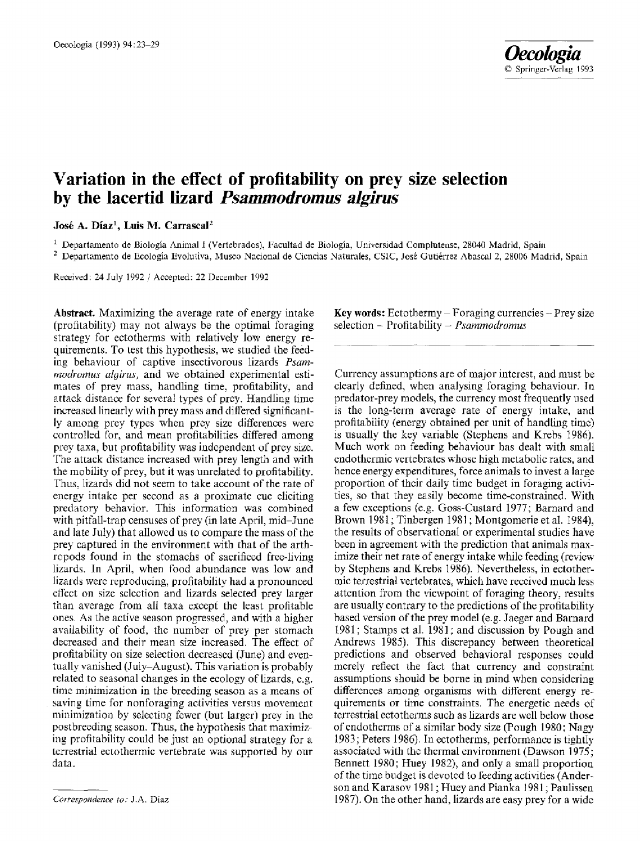# **Variation in the effect of profitability on prey size selection by the lacertid lizard** *Psammodromus algirus*

José A. Díaz<sup>1</sup>, Luis M. Carrascal<sup>2</sup>

<sup>1</sup> Departamento de Biología Animal I (Vertebrados), Facultad de Biología, Universidad Complutense, 28040 Madrid, Spain <sup>2</sup> Departamento de Ecología Evolutiva, Museo Nacional de Ciencias Naturales, CSIC, José Gutiérrez Abascal 2, 28006 Madrid, Spain

Received: 24 July 1992 / Accepted: 22 December 1992

**Abstract.** Maximizing the average rate of energy intake (profitability) may not always be the optimal foraging strategy for ectotherms with relatively low energy requirements. To test this hypothesis, we studied the feeding behaviour of captive insectivorous lizards *Psammodromus algirus,* and we obtained experimental estimates of prey mass, handling time, profitability, and attack distance for several types of prey. Handling time increased linearly with prey mass and differed significantly among prey types when prey size differences were controlled for, and mean profitabilities differed among prey taxa, but profitability was independent of prey size. The attack distance increased with prey length and with the mobility of prey, but it was unrelated to profitability. Thus, lizards did not seem to take account of the rate of energy intake per second as a proximate cue eliciting predatory behavior. This information was combined with pitfall-trap censuses of prey (in late April, mid-June and late July) that allowed us to compare the mass of the prey captured in the environment with that of the arthropods found in the stomachs of sacrificed free-living lizards. In April, when food abundance was low and lizards were reproducing, profitability had a pronounced effect on size selection and lizards selected prey larger than average from all taxa except the least profitable ones. As the active season progressed, and with a higher availability of food, the number of prey per stomach decreased and their mean size increased. The effect of profitability on size selection decreased (June) and eventually vanished (July-August). This variation is probably related to seasonal changes in the ecology of lizards, e.g. time minimization in the breeding season as a means of saving time for nonforaging activities versus movement minimization by selecting fewer (but larger) prey in the postbreeding season. Thus, the hypothesis that maximizing profitability could be just an optional strategy for a terrestrial ectothermic vertebrate was supported by our data.

**Key words:** Ectothermy – Foraging currencies – Prey size selection - Profitability - *Psammodromus* 

Currency assumptions are of major interest, and must be clearly defined, when analysing foraging behaviour. In predator-prey models, the currency most frequently used is the long-term average rate of energy intake, and profitability (energy obtained per unit of handling time) is usually the key variable (Stephens and Krebs 1986). Much work on feeding behaviour has dealt with small endothermic vertebrates whose high metabolic rates, and hence energy expenditures, force animals to invest a large proportion of their daily time budget in foraging activities, so that they easily become time-constrained. With a few exceptions (e.g. Goss-Custard 1977; Barnard and Brown 1981; Tinbergen 1981; Montgomerie et al. 1984), the results of observational or experimental studies have been in agreement with the prediction that animals maximize their net rate of energy intake while feeding (review by Stephens and Krebs 1986). Nevertheless, in ectothermic terrestrial vertebrates, which have received much less attention from the viewpoint of foraging theory, results are usually contrary to the predictions of the profitability based version of the prey model (e.g. Jaeger and Barnard 1981; Stamps et al. 1981; and discussion by Pough and Andrews 1985). This discrepancy between theoretical predictions and observed behavioral responses could merely reflect the fact that currency and constraint assumptions should be borne in mind when considering differences among organisms with different energy requirements or time constraints. The energetic needs of terrestrial ectotherms such as lizards are well below those of endotherms of a similar body size (Pough 1980; Nagy 1983; Peters 1986). In ectotherms, performance is tightly associated with the thermal environment (Dawson 1975; Bennett 1980; Huey 1982), and only a small proportion of the time budget is devoted to feeding activities (Anderson and Karasov 1981 ; Huey and Pianka 1981 ; Paulissen 1987). On the other hand, lizards are easy prey for a wide

*Correspondence to:* J.A. Diaz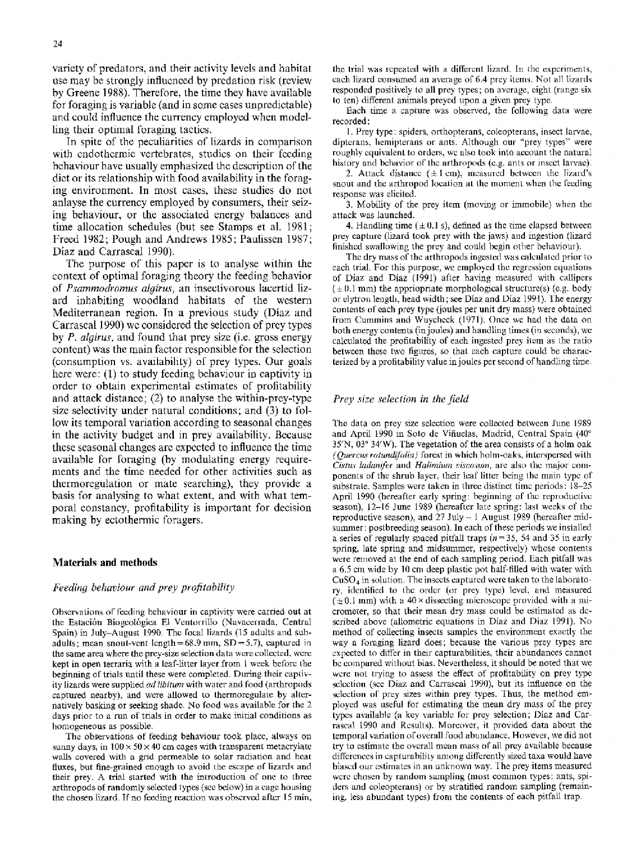variety of predators, and their activity levels and habitat use may be strongly influenced by predation risk (review by Greene 1988). Therefore, the time they have available for foraging is variable (and in some cases unpredictable) and could influence the currency employed when modelling their optimal foraging tactics.

In spite of the peculiarities of lizards in comparison with endothermic vertebrates, studies on their feeding behaviour have usually emphasized the description of the diet or its relationship with food availability in the foraging environment. In most cases, these studies do not anlayse the currency employed by consumers, their seizing behaviour, or the associated energy balances and time allocation schedules (but see Stamps et al. 1981; Freed 1982; Pough and Andrews 1985; Paulissen 1987; Diaz and Carrascal 1990).

The purpose of this paper is to analyse within the context of optimal foraging theory the feeding behavior of *Psammodromus algirus,* an insectivorous lacertid lizard inhabiting woodland habitats of the western Mediterranean region. In a previous study (Diaz and Carrascal 1990) we considered the selection of prey types by *P. algirus,* and found that prey size (i.e. gross energy content) was the main factor responsible for the selection (consumption vs. availability) of prey types. Our goals here were: (1) to study feeding behaviour in captivity in order to obtain experimental estimates of profitability and attack distance; (2) to analyse the within-prey-type size selectivity under natural conditions; and (3) to follow its temporal variation according to seasonal changes in the activity budget and in prey availability. Because these seasonal changes are expected to influence the time available for foraging (by modulating energy requirements and the time needed for other activities such as thermoregulation or mate searching), they provide a basis for analysing to what extent, and with what temporal constancy, profitability is important for decision making by ectothermic foragers.

### **Materials and methods**

## *Feedin9 behaviour and prey profitability*

Observations of feeding behaviour in captivity were carried out at the Estación Biogeológica El Ventorrillo (Navacerrada, Central Spain) in July-August 1990. The focal lizards (15 adults and subadults; mean snout-vent length =  $68.9$  mm, SD =  $5.7$ ), captured in the same area where the prey-size selection data were collected, were kept in open terraria with a leaf-litter layer from 1 week before the beginning of trials until these were completed. During their captivity lizards were supplied *ad libitum* with water and food (arthropods captured nearby), and were allowed to thermoregulate by alternatively basking or seeking shade. No food was available for the 2 days prior to a run of trials in order to make initial conditions as homogeneous as possible.

The observations of feeding behaviour took place, always on sunny days, in  $100 \times 50 \times 40$  cm cages with transparent metacrylate walls covered with a grid permeable to solar radiation and heat fluxes, but fine-grained enough to avoid the escape of lizards and their prey. A trial started with the introduction of one to three arthropods of randomly selected types (see below) in a cage housing the chosen lizard. If no feeding reaction was observed after 15 min,

the trial was repeated with a different lizard. In the experiments, each lizard consumed an average of 6.4 prey items. Not all lizards responded positively to all prey types; on average, eight (range six to ten) different animals preyed upon a given prey type.

Each time a capture was observed, the following data were recorded:

1. Prey type: spiders, orthopterans, coleopterans, insect larvae, dipterans, hemipterans or ants. Although our "prey types" were roughly equivalent to orders, we also took into account the natural history and behavior of the arthropods (e.g. ants or insect larvae).

2. Attack distance  $(\pm 1 \text{ cm})$ , measured between the lizard's snout and the arthropod location at the moment when the feeding response was elicited.

3. Mobility of the prey item (moving or immobile) when the attack was launched.

4. Handling time  $(\pm 0.1 \text{ s})$ , defined as the time elapsed between prey capture (lizard took prey with the jaws) and ingestion (lizard finished swallowing the prey and could begin other behaviour).

The dry mass of the arthropods ingested was calculated prior to each trial. For this purpose, we employed the regression equations of Diaz and Diaz (1991) after having measured with callipers  $(±0.1$  mm) the appriopriate morphological structure(s) (e.g. body or elytron length, head width; see Diaz and Diaz 1991). The energy contents of each prey type (joules per unit dry mass) were obtained from Cummins and Wuycheck (1971). Once we had the data on both energy contents (in joules) and handling times (in seconds), we calculated the profitability of each ingested prey item as the ratio between these two figures, so that each capture could be characterized by a profitability value in joules per second of handling time.

#### *Prey size selection in the field*

The data on prey size selection were collected between June 1989 and April 1990 in Soto de Viñuelas, Madrid, Central Spain (40°  $35'N$ ,  $03°34'W$ ). The vegetation of the area consists of a holm oak *(Quercus rotundifolia)* forest in which holm-oaks, interspersed with *Cistus ladanifer* and *Halimium viscosum,* are also the major components of the shrub layer, their leaf litter being the main type of substrate. Samples were taken in three distinct time periods: 18-25 April 1990 (hereafter early spring: beginning of the reproductive season), 12-16 June 1989 (hereafter late spring: last weeks of the reproductive season), and 27 July - 1 August 1989 (hereafter midsummer: postbreeding season). In each of these periods we installed a series of regularly spaced pitfall traps  $(n = 35, 54, 35)$  in early spring, late spring and midsummer, respectively) whose contents were removed at the end of each sampling period. Each pitfall was a 6.5 cm wide by 10 cm deep plastic pot half-filled with water with  $CuSO<sub>4</sub>$  in solution. The insects captured were taken to the laboratory, identified to the order (or prey type) level, and measured  $(\pm 0.1 \text{ mm})$  with a 40 × dissecting microscope provided with a micrometer, so that their mean dry mass could be estimated as described above (allometric equations in Diaz and Diaz 1991). No method of collecting insects samples the environment exactly the way a foraging lizard does; because the various prey types are expected to differ in their capturabilities, their abundances cannot be compared without bias. Nevertheless, it should be noted that we were not trying to assess the effect of profitability on prey type selection (see Diaz and Carrascal 1990), but its influence on the selection of prey sizes within prey types. Thus, the method employed was useful for estimating the mean dry mass of the prey types available (a key variable for prey selection; Diaz and Carrascal 1990 and Results). Moreover, it provided data about the temporal variation of overall food abundance. However, we did not try to estimate the overall mean mass of all prey available because differences in capturability among differently sized taxa would have biased our estimates in an unknown way. The prey items measured were chosen by random sampling (most common types: ants, spiders and coleopterans) or by stratified random sampling (remaining, less abundant types) from the contents of each pitfall trap.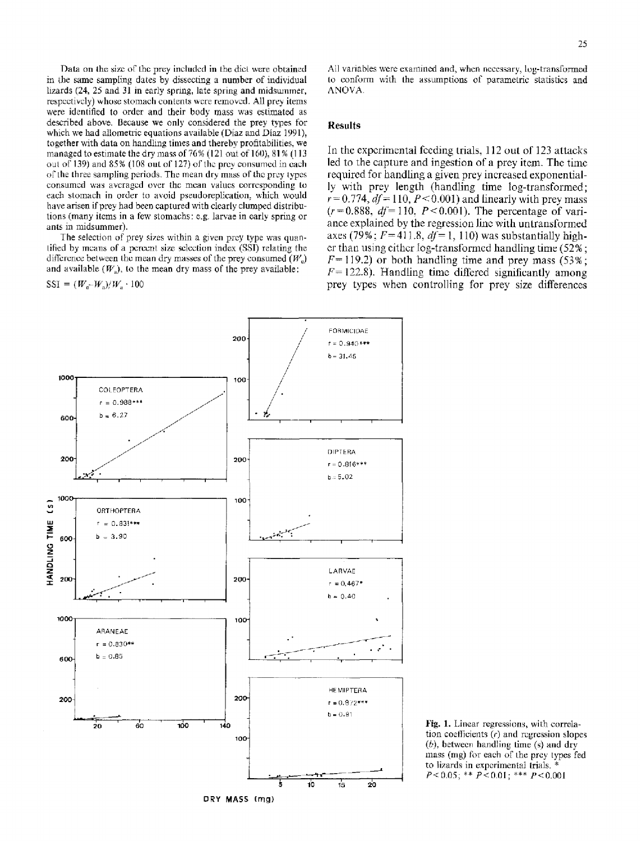Data on the size of the prey included in the diet were obtained in the same sampling dates by dissecting a number of individual lizards (24, 25 and 31 in early spring, late spring and midsummer, respectively) whose stomach contents were removed. All prey items were identified to order and their body mass was estimated as described above. Because we only considered the prey types for which we had allometric equations available (Diaz and Diaz 1991), together with data on handling times and thereby profitabilities, we managed to estimate the dry mass of 76% (121 out of 160), 81% (113 out of 139) and 85% (108 out of 127) of the prey consumed in each of the three sampling periods. The mean dry mass of the prey types consumed was averaged over the mean values corresponding to each stomach in order to avoid pseudoreplication, which would have arisen if prey had been captured with clearly clumped distributions (many items in a few stomachs: e.g. larvae in early spring or ants in midsummer).

The selection of prey sizes within a given prey type was quantified by means of a percent size selection index (SSI) relating the difference between the mean dry masses of the prey consumed  $(W<sub>c</sub>)$ and available  $(W_a)$ , to the mean dry mass of the prey available:

$$
SSI = (W_{\rm e} - W_{\rm a})/W_{\rm a} \cdot 100
$$

25

All variables were examined and, when necessary, log-transformed to conform with the assumptions of parametric statistics and ANOVA.

# **Results**

**In the experimental feeding trials, 112 out of 123 attacks led to the capture and ingestion of a prey item. The time required for handling a given prey increased exponentially with prey length (handling time log-transformed;**   $r = 0.774$ ,  $df = 110$ ,  $P \le 0.001$ ) and linearly with prey mass  $(r = 0.888, df = 110, P < 0.001)$ . The percentage of vari**ance explained by the regression line with untransformed**  axes (79%;  $F = 411.8$ ,  $df = 1$ , 110) was substantially high**er than using either log-transformed handling time (52% ;**   $F= 119.2$ ) or both handling time and prey mass (53%; **F= 122.8). Handling time differed significantly among prey types when controlling for prey size differences** 



**Fig.** 1. Linear regressions, with correlation coefficients  $(r)$  and regression slopes  $(b)$ , between handling time (s) and dry mass (mg) for each of the prey types fed to lizards in experimental trials. \*  $P < 0.05$ ; \*\*  $P < 0.01$ ; \*\*\*  $P < 0.001$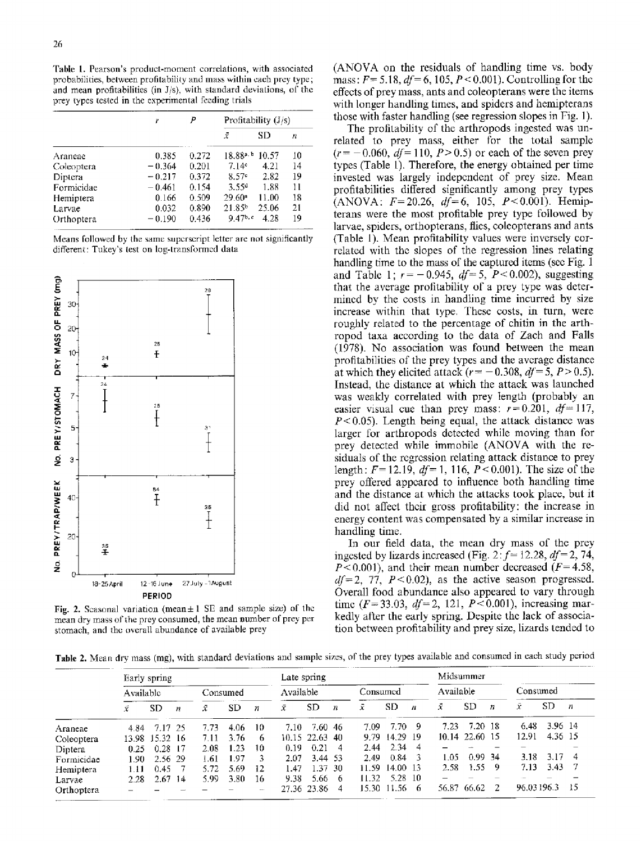**Table** 1. Pearson's product-moment correlations, with associated probabilities, between profitability and mass within each prey type; and mean profitabilities (in  $J/s$ ), with standard deviations, of the prey types tested in the experimental feeding trials

|            | r        | P     | Profitability $(J/s)$ |       |    |  |  |
|------------|----------|-------|-----------------------|-------|----|--|--|
|            |          |       | ž                     | SD    | п  |  |  |
| Araneae    | 0.385    | 0.272 | $18.88$ a, b          | 10.57 | 10 |  |  |
| Coleoptera | $-0.364$ | 0.201 | 7.14c                 | 4.21  | 14 |  |  |
| Diptera    | $-0.217$ | 0.372 | 8.57c                 | 2.82  | 19 |  |  |
| Formicidae | $-0.461$ | 0.154 | 3.55 <sup>d</sup>     | 1.88  | 11 |  |  |
| Hemiptera  | 0.166    | 0.509 | 29.60 <sup>a</sup>    | 11.00 | 18 |  |  |
| Larvae     | 0.032    | 0.890 | 21.85 <sup>b</sup>    | 25.06 | 21 |  |  |
| Orthoptera | $-0.190$ | 0.436 | 9.47b,c               | 4.28  | 19 |  |  |

Means followed by the same superscript letter are not significantly different: Tukey's test on log-transformed data



Fig. 2. Seasonal variation (mean $\pm 1$  SE and sample size) of the mean dry mass of the prey consumed, the mean number of prey per stomach, and the overall abundance of available prey

(ANOVA on the residuals of handling time vs. body mass: F= 5.18, *df=* 6, 105, P < 0.001). Controlling for the effects of prey mass, ants and coleopterans were the items with longer handling times, and spiders and hemipterans those with faster handling (see regression slopes in Fig. 1).

The profitability of the arthropods ingested was unrelated to prey mass, either for the total sample  $(r = -0.060, df = 110, P > 0.5)$  or each of the seven prey types (Table 1). Therefore, the energy obtained per time invested was largely independent of prey size. Mean profitabilities differed significantly among prey types (ANOVA:  $F=20.26$ ,  $df=6$ , 105,  $P<0.001$ ). Hemipterans were the most profitable prey type followed by larvae, spiders, orthopterans, flies, coleopterans and ants (Table 1). Mean profitability values were inversely correlated with the slopes of the regression lines relating handling time to the mass of the captured items (see Fig. 1) and Table 1:  $r = -0.945$ ,  $df = 5$ ,  $P < 0.002$ ), suggesting that the average profitability of a prey type was determined by the costs in handling time incurred by size increase within that type. These costs, in turn, were roughly related to the percentage of chitin in the arthropod taxa according to the data of Zach and Falls (1978). No association was found between the mean profitabilities of the prey types and the average distance at which they elicited attack  $(r=-0.308, df=5, P>0.5)$ . Instead, the distance at which the attack was launched was weakly correlated with prey length (probably an easier visual cue than prey mass:  $r=0.201$ ,  $df=117$ ,  $P < 0.05$ ). Length being equal, the attack distance was larger for arthropods detected while moving than for prey detected while immobile (ANOVA with the residuals of the regression relating attack distance to prey length:  $F = 12.19$ ,  $df = 1$ , 116,  $P \le 0.001$ ). The size of the prey offered appeared to influence both handling time and the distance at which the attacks took place, but it did not affect their gross profitability: the increase in energy content was compensated by a similar increase in handling time.

In our field data, the mean dry mass of the prey ingested by lizards increased (Fig.  $2: f= 12.28$ ,  $df= 2$ , 74,  $P \le 0.001$ ), and their mean number decreased ( $F = 4.58$ ,  $df=2$ , 77,  $P<0.02$ ), as the active season progressed. Overall food abundance also appeared to vary through time  $(F=33.03, df=2, 121, P<0.001)$ , increasing markedly after the early spring. Despite the lack of association between profitability and prey size, lizards tended to

**Table** 2. Mean dry mass (mg), with standard deviations and sample sizes, of the prey types available and consumed in each study period

|            | Early spring |                |          |      | Late spring |        |          |             |               | Midsummer |              |                  |          |                |                  |            |         |                  |
|------------|--------------|----------------|----------|------|-------------|--------|----------|-------------|---------------|-----------|--------------|------------------|----------|----------------|------------------|------------|---------|------------------|
|            | Available    |                | Consumed |      | Available   |        | Consumed |             |               | Available |              |                  | Consumed |                |                  |            |         |                  |
|            | $\vec{x}$    | SD             | n        | x.   | SD          | n      | x        | SD          | $\mathcal{F}$ | ī         | SD.          | $\boldsymbol{n}$ | x.       | SD             | $\boldsymbol{n}$ | Ā.         | SD      | $\boldsymbol{n}$ |
| Araneae    | 4.84         | 7.17 25        |          | 7.73 | 4.06        | -10    | 7.10     | 7.60        | -46           | 7.09      | 7.70         | 9                | 7.23     | 7.20 18        |                  | 6.48       | 3.96 14 |                  |
| Coleoptera |              | 13.98 15.32 16 |          | 7.11 | 3.76        | 6      |          | 10.15 22.63 | -40           | 9.79.     | 14.29        | 19               |          | 10.14 22.60 15 |                  | 12.91      | 4.36 15 |                  |
| Diptera    | 0.25         | 0.28           | - 17     | 2.08 | 1.23        | 10     | 0.19     | 0.21        | 4             | 2.44      | 2.34         | 4                |          |                |                  |            |         |                  |
| Formicidae | 1.90.        | 2.56 29        |          | 1.61 | 1.97        | 3      | 2.07     | 3.44 53     |               | 2.49      | 0.84         | 3                | 1.05     | 0.99 34        |                  | 3.18       | 3.1     | -4               |
| Hemiptera  | 1.11         | 0.45           |          | 5.72 | 5.69        | 12     | 1.47     | $1.37$ 30   |               | 11.59     | $14.00 -$    | -13              | 2.58     | 1.55           | 9                | 7.13       | 3.43    |                  |
| Larvae     | 2.28         | 2.67           | -14      | 5.99 | 3.80        | 16     | 9.38     | 5.66        | 6             | IL 32.    | $5.28 \; 10$ |                  |          |                |                  |            |         |                  |
| Orthoptera |              |                |          |      |             | $\sim$ | 27.36    | 23.86       | 4             | 15.30     | 11.56        | 6                | 56.87    | -66.62         | 2                | 96.03196.3 |         | -15              |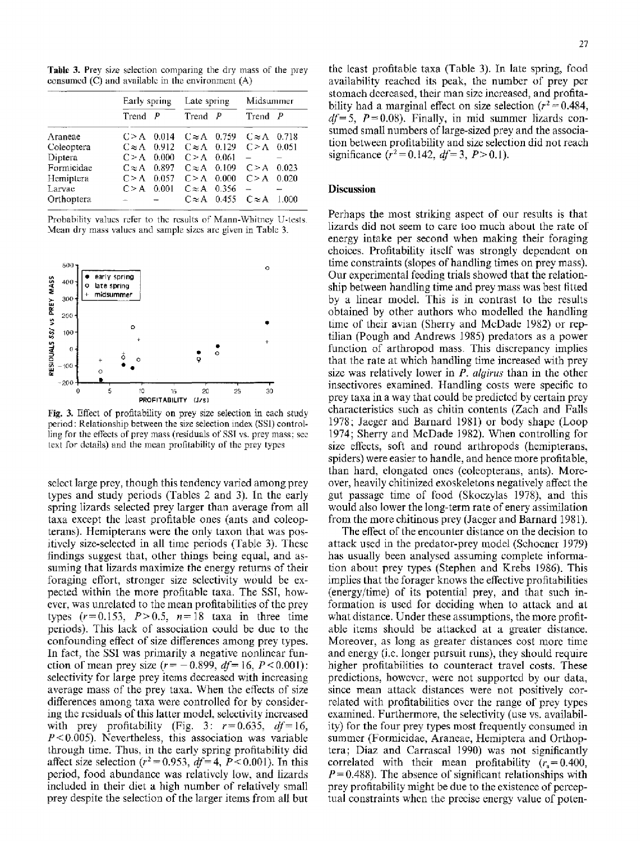**Table** 3. Prey size selection comparing the dry mass of the prey consumed (C) and available in the environment (A)

|            | Early spring  |              | Late spring   |              | Midsummer        |       |  |  |
|------------|---------------|--------------|---------------|--------------|------------------|-------|--|--|
|            | Trend         | $\mathbf{P}$ | Trend         | $\mathbf{P}$ | Trend P          |       |  |  |
| Araneae    | C > A         | 0.014        | $C \approx A$ | 0.759        | C≈A              | 0.718 |  |  |
| Coleoptera | $C \approx A$ | 0.912        | $C \approx A$ | -0.129       | $C \geq A$ 0.051 |       |  |  |
| Diptera    | C > A         | 0.000        | C > A         | 0.061        |                  |       |  |  |
| Formicidae | $C \approx A$ | 0.897        | $C \approx A$ | -0.109       | C > A            | 0.023 |  |  |
| Hemiptera  | C > A         | 0.057        | C > A         | 0.000        | C > A            | 0.020 |  |  |
| Larvae     | C > A         | 0.001        | $C \approx A$ | 0.356        |                  |       |  |  |
| Orthoptera |               |              | $C \approx A$ | 0.455        | $C \approx A$    | L 000 |  |  |

Probability values refer to the results of Mann-Whitney U-tests. Mean dry mass values and sample sizes are given in Table 3.



Fig. 3. Effect of profitability on prey size selection in each study period: Relationship between the size selection index (SSI) controlling for the effects of prey mass (residuals of SSI vs. prey mass; see text for details) and the mean profitability of the prey types

select large prey, though this tendency varied among prey types and study periods (Tables 2 and 3). In the early spring lizards selected prey larger than average from all taxa except the least profitable ones (ants and coleopterans). Hemipterans were the only taxon that was positively size-selected in all time periods (Table 3). These findings suggest that, other things being equal, and assuming that lizards maximize the energy returns of their foraging effort, stronger size selectivity would be expected within the more profitable taxa. The SSI, however, was unrelated to the mean profitabilities of the prey types  $(r=0.153, P>0.5, n=18$  taxa in three time periods). This lack of association could be due to the confounding effect of size differences among prey types. In fact, the SSI was primarily a negative nonlinear function of mean prey size  $(r = -0.899, df = 16, P < 0.001)$ : selectivity for large prey items decreased with increasing average mass of the prey taxa. When the effects of size differences among taxa were controlled for by considering the residuals of this latter model, selectivity increased with prey profitability (Fig. 3:  $r=0.635$ ,  $df=16$ ,  $P < 0.005$ ). Nevertheless, this association was variable through time. Thus, in the early spring profitability did affect size selection ( $r^2 = 0.953$ ,  $df = 4$ ,  $P < 0.001$ ). In this period, food abundance was relatively low, and lizards included in their diet a high number of relatively small prey despite the selection of the larger items from all but the least profitable taxa (Table 3). In late spring, food availability reached its peak, the number of prey per stomach decreased, their man size increased, and profitability had a marginal effect on size selection  $(r^2 = 0.484,$  $df= 5$ ,  $P= 0.08$ ). Finally, in mid summer lizards consumed small numbers of large-sized prey and the association between profitability and size selection did not reach significance  $(r^2=0.142, df=3, P>0.1)$ .

# **Discussion**

Perhaps the most striking aspect of our results is that lizards did not seem to care too much about the rate of energy intake per second when making their foraging choices. Profitability itself was strongly dependent on time constraints (slopes of handling times on prey mass). Our experimental feeding trials showed that the relationship between handling time and prey mass was best fitted by a linear model. This is in contrast to the results obtained by other authors who modelled the handling time of their avian (Sherry and McDade 1982) or reptilian (Pough and Andrews 1985) predators as a power function of arthropod mass. This discrepancy implies that the rate at which handling time increased with prey size was relatively lower in *P. algirus* than in the other insectivores examined. Handling costs were specific to prey taxa in a way that could be predicted by certain prey characteristics such as chitin contents (Zach and Falls 1978; Jaeger and Barnard 1981) or body shape (Loop 1974; Sherry and McDade 1982). When controlling for size effects, soft and round arthropods (hemipterans, spiders) were easier to handle, and hence more profitable, than hard, elongated ones (coleopterans, ants). Moreover, heavily chitinized exoskeletons negatively affect the gut passage time of food (Skoczylas 1978), and this would also lower the long-term rate of enery assimilation from the more chitinous prey (Jaeger and Barnard 1981).

The effect of the encounter distance on the decision to attack used in the predator-prey model (Schoener 1979) has usually been analysed assuming complete information about prey types (Stephen and Krebs 1986). This implies that the forager knows the effective profitabilities (energy/time) of its potential prey, and that such information is used for deciding when to attack and at what distance. Under these assumptions, the more profitable items should be attacked at a greater distance. Moreover, as long as greater distances cost more time and energy (i.e. longer pursuit runs), they should require higher profitabilities to counteract travel costs. These predictions, however, were not supported by our data, since mean attack distances were not positively correlated with profitabilities over the range of prey types examined. Furthermore, the selectivity (use vs. availability) for the four prey types most frequently consumed in summer (Formicidae, Araneae, Hemiptera and Orthoptera; Diaz and Carrascal 1990) was not significantly correlated with their mean profitability  $(r<sub>s</sub>=0.400)$ ,  $P = 0.488$ ). The absence of significant relationships with prey profitability might be due to the existence of perceptual constraints when the precise energy value of **poten-**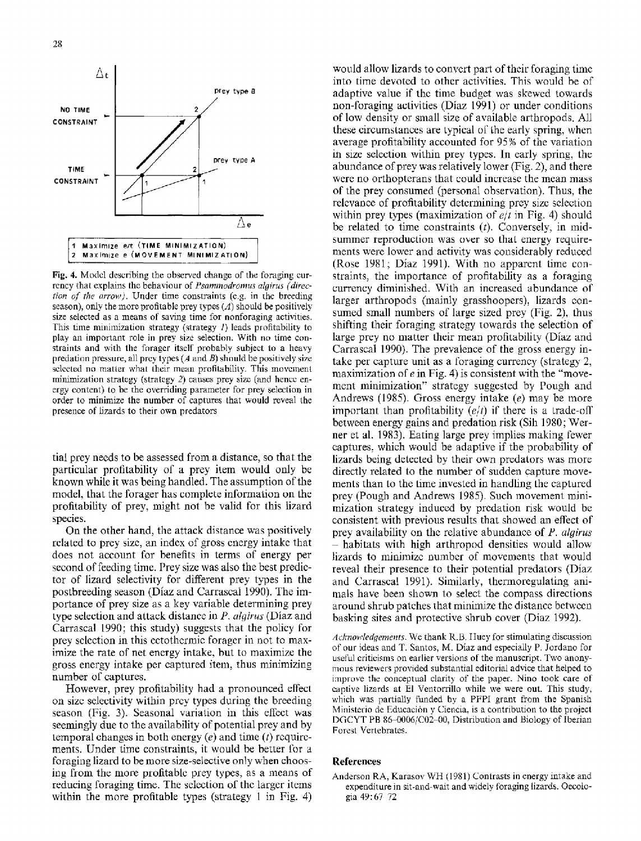28



**Fig.** 4. Model describing the observed change of the foraging currency that explains the behaviour of *Psammodromus algirus (direction of the arrow).* Under time constraints (e.g. in the breeding season), only the more profitable prey types  $(A)$  should be positively size selected as a means of saving time for nonforaging activities. This time minimization strategy (strategy 1) leads profitability to play an important role in prey size selection. With no time constraints and with the forager itself probably subject to a heavy predation pressure, all prey types  $(A \text{ and } B)$  should be positively size selected no matter what their mean profitability. This movement minimization strategy (strategy 2) causes prey size (and hence energy content) to be the overriding parameter for prey selection in order to minimize the number of captures that would reveal the presence of lizards to their own predators

tial prey needs to be assessed from a distance, so that the particular profitability of a prey item would only be known while it was being handled. The assumption of the model, that the forager has complete information on the profitability of prey, might not be valid for this lizard species.

On the other hand, the attack distance was positively related to prey size, an index of gross energy intake that does not account for benefits in terms of energy per second of feeding time. Prey size was also the best predictor of lizard selectivity for different prey types in the postbreeding season (Diaz and Carrascal 1990). The importance of prey size as a key variable determining prey type selection and attack distance in *P. algirus* (Diaz and Carrascal 1990; this study) suggests that the policy for prey selection in this ectothermic forager in not to maximize the rate of net energy intake, but to maximize the gross energy intake per captured item, thus minimizing number of captures.

However, prey profitability had a pronounced effect on size selectivity within prey types during the breeding season (Fig. 3). Seasonal variation in this effect was seemingly due to the availability of potential prey and by temporal changes in both energy  $(e)$  and time  $(t)$  requirements. Under time constraints, it would be better for a foraging lizard to be more size-selective only when choosing from the more profitable prey types, as a means of reducing foraging time. The selection of the larger items within the more profitable types (strategy 1 in Fig. 4)

would allow lizards to convert part of their foraging time into time devoted to other activities. This would be of adaptive value if the time budget was skewed towards non-foraging activities (Diaz 1991) or under conditions of low density or small size of available arthropods. All these circumstances are typical of the early spring, when average profitability accounted for 95 % of the variation in size selection within prey types. In early spring, the abundance of prey was relatively lower (Fig. 2), and there were no orthopterans that could increase the mean mass of the prey consumed (personal observation). Thus, the relevance of profitability determining prey size selection within prey types (maximization of *e/t* in Fig. 4) should be related to time constraints  $(t)$ . Conversely, in midsummer reproduction was over so that energy requirements were lower and activity was considerably reduced (Rose 1981; Diaz 1991). With no apparent time constraints, the importance of profitability as a foraging currency diminished. With an increased abundance of larger arthropods (mainly grasshoopers), lizards consumed small numbers of large sized prey (Fig. 2), thus shifting their foraging strategy towards the selection of large prey no matter their mean profitability (Diaz and Carrascal 1990). The prevalence of the gross energy intake per capture unit as a foraging currency (strategy 2, maximization of  $e$  in Fig. 4) is consistent with the "movement minimization" strategy suggested by Pough and Andrews (1985). Gross energy intake (e) may be more important than profitability *(e/t)* if there is a trade-off between energy gains and predation risk (Sih 1980; Werher et al. 1983). Eating large prey implies making fewer captures, which would be adaptive if the probability of lizards being detected by their own predators was more directly related to the number of sudden capture movements than to the time invested in handling the captured prey (Pough and Andrews 1985). Such movement minimization strategy induced by predation risk would be consistent with previous results that showed an effect of prey availability on the relative abundance of *P. algirus*  - habitats with high arthropod densities would allow lizards to minimize number of movements that would reveal their presence to their potential predators (Diaz and Carrascal 1991). Similarly, thermoregulating animals have been shown to select the compass directions around shrub patches that minimize the distance between basking sites and protective shrub cover (Diaz 1992).

*Acknowledgements.* We thank R.B. Huey for stimulating discussion of our ideas and T. Santos, M. Diaz and especially P. Jordano for useful criticisms on earlier versions of the manuscript. Two anonymous reviewers provided substantial editorial advice that helped to improve the conceptual clarity of the paper. Nino took care of captive lizards at E1 Ventorrillo while we were out. This study, which was partially funded by a PFPI grant from the Spanish Ministerio de Educacidn y Ciencia, is a contribution to the project DGCYT PB 86-0006/C02-00, Distribution and Biology of Iberian Forest Vertebrates.

#### **References**

Anderson RA, Karasov WH (1981) Contrasts in energy intake and expenditure in sit-and-wait and widely foraging lizards. Oecologia 49: 67-72